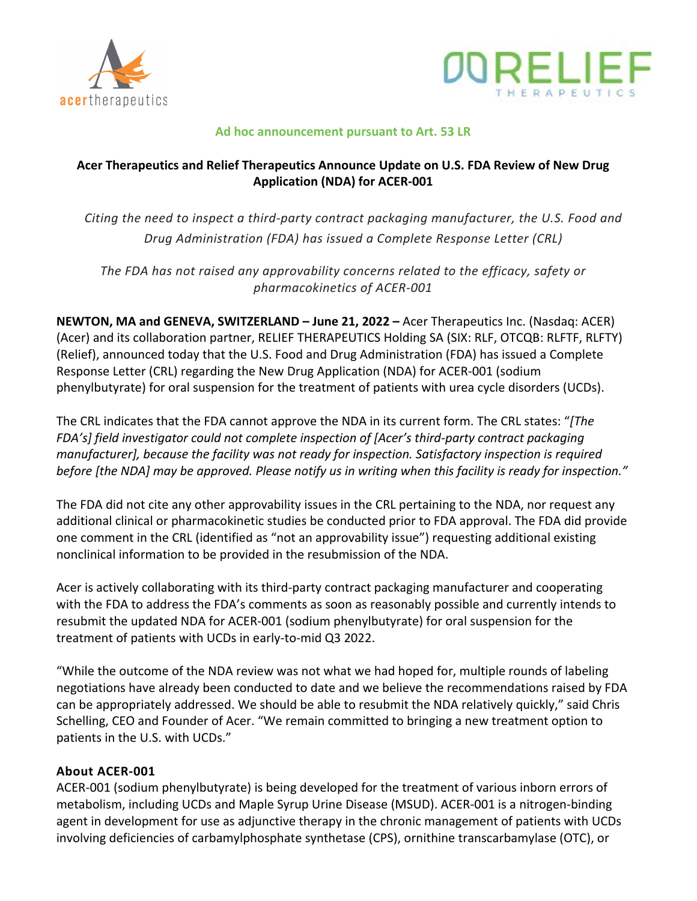



#### **Ad hoc announcement pursuant to Art. 53 LR**

# **Acer Therapeutics and Relief Therapeutics Announce Update on U.S. FDA Review of New Drug Application (NDA) for ACER-001**

*Citing the need to inspect a third-party contract packaging manufacturer, the U.S. Food and Drug Administration (FDA) has issued a Complete Response Letter (CRL)*

*The FDA has not raised any approvability concerns related to the efficacy, safety or pharmacokinetics of ACER-001*

**NEWTON, MA and GENEVA, SWITZERLAND – June 21, 2022 –** Acer Therapeutics Inc. (Nasdaq: ACER) (Acer) and its collaboration partner, RELIEF THERAPEUTICS Holding SA (SIX: RLF, OTCQB: RLFTF, RLFTY) (Relief), announced today that the U.S. Food and Drug Administration (FDA) has issued a Complete Response Letter (CRL) regarding the New Drug Application (NDA) for ACER-001 (sodium phenylbutyrate) for oral suspension for the treatment of patients with urea cycle disorders (UCDs).

The CRL indicates that the FDA cannot approve the NDA in its current form. The CRL states: "*[The FDA's] field investigator could not complete inspection of [Acer's third-party contract packaging manufacturer], because the facility was not ready for inspection. Satisfactory inspection is required before [the NDA] may be approved. Please notify us in writing when this facility is ready for inspection."*

The FDA did not cite any other approvability issues in the CRL pertaining to the NDA, nor request any additional clinical or pharmacokinetic studies be conducted prior to FDA approval. The FDA did provide one comment in the CRL (identified as "not an approvability issue") requesting additional existing nonclinical information to be provided in the resubmission of the NDA.

Acer is actively collaborating with its third-party contract packaging manufacturer and cooperating with the FDA to address the FDA's comments as soon as reasonably possible and currently intends to resubmit the updated NDA for ACER-001 (sodium phenylbutyrate) for oral suspension for the treatment of patients with UCDs in early-to-mid Q3 2022.

"While the outcome of the NDA review was not what we had hoped for, multiple rounds of labeling negotiations have already been conducted to date and we believe the recommendations raised by FDA can be appropriately addressed. We should be able to resubmit the NDA relatively quickly," said Chris Schelling, CEO and Founder of Acer. "We remain committed to bringing a new treatment option to patients in the U.S. with UCDs."

## **About ACER-001**

ACER-001 (sodium phenylbutyrate) is being developed for the treatment of various inborn errors of metabolism, including UCDs and Maple Syrup Urine Disease (MSUD). ACER-001 is a nitrogen-binding agent in development for use as adjunctive therapy in the chronic management of patients with UCDs involving deficiencies of carbamylphosphate synthetase (CPS), ornithine transcarbamylase (OTC), or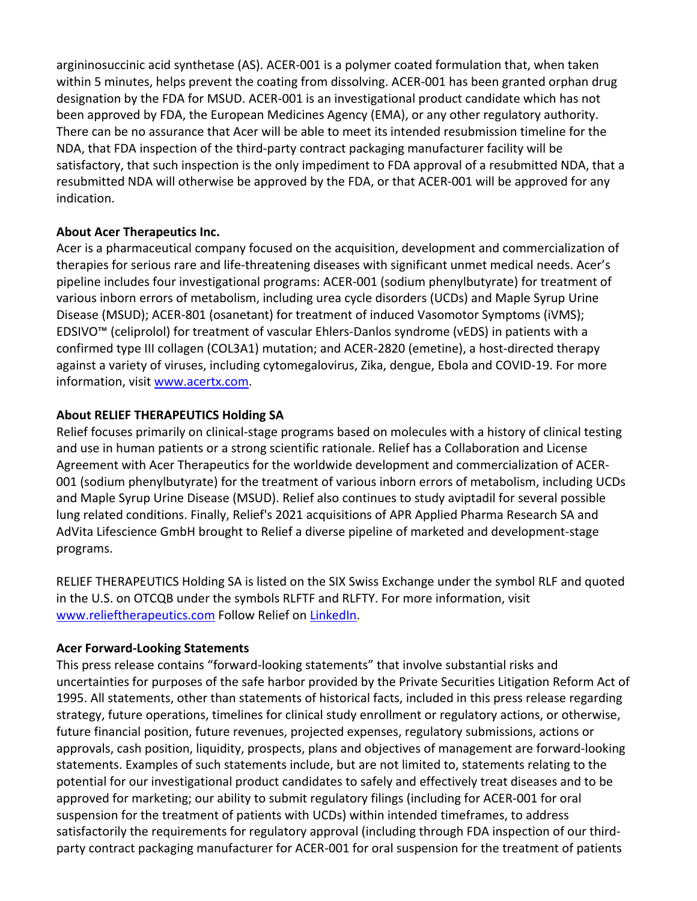argininosuccinic acid synthetase (AS). ACER-001 is a polymer coated formulation that, when taken within 5 minutes, helps prevent the coating from dissolving. ACER-001 has been granted orphan drug designation by the FDA for MSUD. ACER-001 is an investigational product candidate which has not been approved by FDA, the European Medicines Agency (EMA), or any other regulatory authority. There can be no assurance that Acer will be able to meet its intended resubmission timeline for the NDA, that FDA inspection of the third-party contract packaging manufacturer facility will be satisfactory, that such inspection is the only impediment to FDA approval of a resubmitted NDA, that a resubmitted NDA will otherwise be approved by the FDA, or that ACER-001 will be approved for any indication.

## **About Acer Therapeutics Inc.**

Acer is a pharmaceutical company focused on the acquisition, development and commercialization of therapies for serious rare and life-threatening diseases with significant unmet medical needs. Acer's pipeline includes four investigational programs: ACER-001 (sodium phenylbutyrate) for treatment of various inborn errors of metabolism, including urea cycle disorders (UCDs) and Maple Syrup Urine Disease (MSUD); ACER-801 (osanetant) for treatment of induced Vasomotor Symptoms (iVMS); EDSIVO™ (celiprolol) for treatment of vascular Ehlers-Danlos syndrome (vEDS) in patients with a confirmed type III collagen (COL3A1) mutation; and ACER-2820 (emetine), a host-directed therapy against a variety of viruses, including cytomegalovirus, Zika, dengue, Ebola and COVID-19. For more information, visit [www.acertx.com.](http://www.acertx.com/)

## **About RELIEF THERAPEUTICS Holding SA**

Relief focuses primarily on clinical-stage programs based on molecules with a history of clinical testing and use in human patients or a strong scientific rationale. Relief has a Collaboration and License Agreement with Acer Therapeutics for the worldwide development and commercialization of ACER-001 (sodium phenylbutyrate) for the treatment of various inborn errors of metabolism, including UCDs and Maple Syrup Urine Disease (MSUD). Relief also continues to study aviptadil for several possible lung related conditions. Finally, Relief's 2021 acquisitions of APR Applied Pharma Research SA and AdVita Lifescience GmbH brought to Relief a diverse pipeline of marketed and development-stage programs.

RELIEF THERAPEUTICS Holding SA is listed on the SIX Swiss Exchange under the symbol RLF and quoted in the U.S. on OTCQB under the symbols RLFTF and RLFTY. For more information, visit [www.relieftherapeutics.com](http://www.relieftherapeutics.com/) Follow Relief on [LinkedIn.](https://www.linkedin.com/company/relief-therapeutics-holding-sa/?viewAsMember=true)

## **Acer Forward-Looking Statements**

This press release contains "forward-looking statements" that involve substantial risks and uncertainties for purposes of the safe harbor provided by the Private Securities Litigation Reform Act of 1995. All statements, other than statements of historical facts, included in this press release regarding strategy, future operations, timelines for clinical study enrollment or regulatory actions, or otherwise, future financial position, future revenues, projected expenses, regulatory submissions, actions or approvals, cash position, liquidity, prospects, plans and objectives of management are forward-looking statements. Examples of such statements include, but are not limited to, statements relating to the potential for our investigational product candidates to safely and effectively treat diseases and to be approved for marketing; our ability to submit regulatory filings (including for ACER-001 for oral suspension for the treatment of patients with UCDs) within intended timeframes, to address satisfactorily the requirements for regulatory approval (including through FDA inspection of our thirdparty contract packaging manufacturer for ACER-001 for oral suspension for the treatment of patients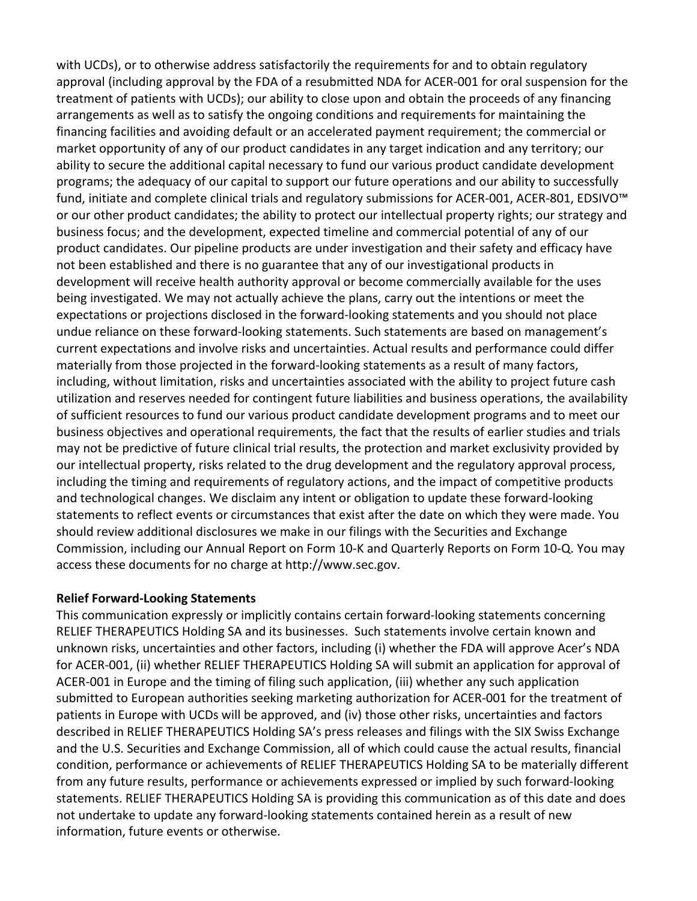with UCDs), or to otherwise address satisfactorily the requirements for and to obtain regulatory approval (including approval by the FDA of a resubmitted NDA for ACER-001 for oral suspension for the treatment of patients with UCDs); our ability to close upon and obtain the proceeds of any financing arrangements as well as to satisfy the ongoing conditions and requirements for maintaining the financing facilities and avoiding default or an accelerated payment requirement; the commercial or market opportunity of any of our product candidates in any target indication and any territory; our ability to secure the additional capital necessary to fund our various product candidate development programs; the adequacy of our capital to support our future operations and our ability to successfully fund, initiate and complete clinical trials and regulatory submissions for ACER-001, ACER-801, EDSIVO™ or our other product candidates; the ability to protect our intellectual property rights; our strategy and business focus; and the development, expected timeline and commercial potential of any of our product candidates. Our pipeline products are under investigation and their safety and efficacy have not been established and there is no guarantee that any of our investigational products in development will receive health authority approval or become commercially available for the uses being investigated. We may not actually achieve the plans, carry out the intentions or meet the expectations or projections disclosed in the forward-looking statements and you should not place undue reliance on these forward-looking statements. Such statements are based on management's current expectations and involve risks and uncertainties. Actual results and performance could differ materially from those projected in the forward-looking statements as a result of many factors, including, without limitation, risks and uncertainties associated with the ability to project future cash utilization and reserves needed for contingent future liabilities and business operations, the availability of sufficient resources to fund our various product candidate development programs and to meet our business objectives and operational requirements, the fact that the results of earlier studies and trials may not be predictive of future clinical trial results, the protection and market exclusivity provided by our intellectual property, risks related to the drug development and the regulatory approval process, including the timing and requirements of regulatory actions, and the impact of competitive products and technological changes. We disclaim any intent or obligation to update these forward-looking statements to reflect events or circumstances that exist after the date on which they were made. You should review additional disclosures we make in our filings with the Securities and Exchange Commission, including our Annual Report on Form 10-K and Quarterly Reports on Form 10-Q. You may access these documents for no charge at http://www.sec.gov.

#### **Relief Forward-Looking Statements**

This communication expressly or implicitly contains certain forward-looking statements concerning RELIEF THERAPEUTICS Holding SA and its businesses. Such statements involve certain known and unknown risks, uncertainties and other factors, including (i) whether the FDA will approve Acer's NDA for ACER-001, (ii) whether RELIEF THERAPEUTICS Holding SA will submit an application for approval of ACER-001 in Europe and the timing of filing such application, (iii) whether any such application submitted to European authorities seeking marketing authorization for ACER-001 for the treatment of patients in Europe with UCDs will be approved, and (iv) those other risks, uncertainties and factors described in RELIEF THERAPEUTICS Holding SA's press releases and filings with the SIX Swiss Exchange and the U.S. Securities and Exchange Commission, all of which could cause the actual results, financial condition, performance or achievements of RELIEF THERAPEUTICS Holding SA to be materially different from any future results, performance or achievements expressed or implied by such forward-looking statements. RELIEF THERAPEUTICS Holding SA is providing this communication as of this date and does not undertake to update any forward-looking statements contained herein as a result of new information, future events or otherwise.